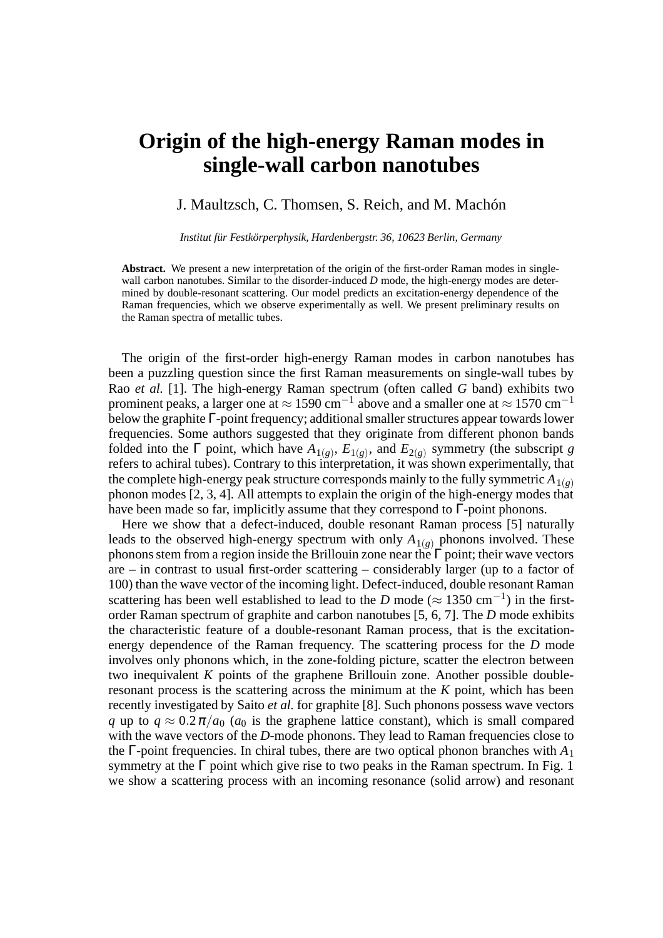## **Origin of the high-energy Raman modes in single-wall carbon nanotubes**

## J. Maultzsch, C. Thomsen, S. Reich, and M. Machón

*Institut für Festkörperphysik, Hardenbergstr. 36, 10623 Berlin, Germany*

**Abstract.** We present a new interpretation of the origin of the first-order Raman modes in singlewall carbon nanotubes. Similar to the disorder-induced *D* mode, the high-energy modes are determined by double-resonant scattering. Our model predicts an excitation-energy dependence of the Raman frequencies, which we observe experimentally as well. We present preliminary results on the Raman spectra of metallic tubes.

The origin of the first-order high-energy Raman modes in carbon nanotubes has been a puzzling question since the first Raman measurements on single-wall tubes by Rao *et al.* [1]. The high-energy Raman spectrum (often called *G* band) exhibits two prominent peaks, a larger one at  $\approx 1590 \text{ cm}^{-1}$  above and a smaller one at  $\approx 1570 \text{ cm}^{-1}$ below the graphite Γ-point frequency; additional smaller structures appear towards lower frequencies. Some authors suggested that they originate from different phonon bands folded into the  $\Gamma$  point, which have  $A_{1(g)}$ ,  $E_{1(g)}$ , and  $E_{2(g)}$  symmetry (the subscript *g* refers to achiral tubes). Contrary to this interpretation, it was shown experimentally, that the complete high-energy peak structure corresponds mainly to the fully symmetric  $A_{1(\rho)}$ phonon modes [2, 3, 4]. All attempts to explain the origin of the high-energy modes that have been made so far, implicitly assume that they correspond to  $\Gamma$ -point phonons.

Here we show that a defect-induced, double resonant Raman process [5] naturally leads to the observed high-energy spectrum with only  $A_{1(g)}$  phonons involved. These phonons stem from a region inside the Brillouin zone near the  $\Gamma$  point; their wave vectors are – in contrast to usual first-order scattering – considerably larger (up to a factor of 100) than the wave vector of the incoming light. Defect-induced, double resonant Raman scattering has been well established to lead to the *D* mode ( $\approx 1350 \text{ cm}^{-1}$ ) in the firstorder Raman spectrum of graphite and carbon nanotubes [5, 6, 7]. The *D* mode exhibits the characteristic feature of a double-resonant Raman process, that is the excitationenergy dependence of the Raman frequency. The scattering process for the *D* mode involves only phonons which, in the zone-folding picture, scatter the electron between two inequivalent *K* points of the graphene Brillouin zone. Another possible doubleresonant process is the scattering across the minimum at the *K* point, which has been recently investigated by Saito *et al.* for graphite [8]. Such phonons possess wave vectors *q* up to  $q \approx 0.2 \pi/a_0$  (*a*<sub>0</sub> is the graphene lattice constant), which is small compared with the wave vectors of the *D*-mode phonons. They lead to Raman frequencies close to the  $\Gamma$ -point frequencies. In chiral tubes, there are two optical phonon branches with  $A_1$ symmetry at the  $\Gamma$  point which give rise to two peaks in the Raman spectrum. In Fig. 1 we show a scattering process with an incoming resonance (solid arrow) and resonant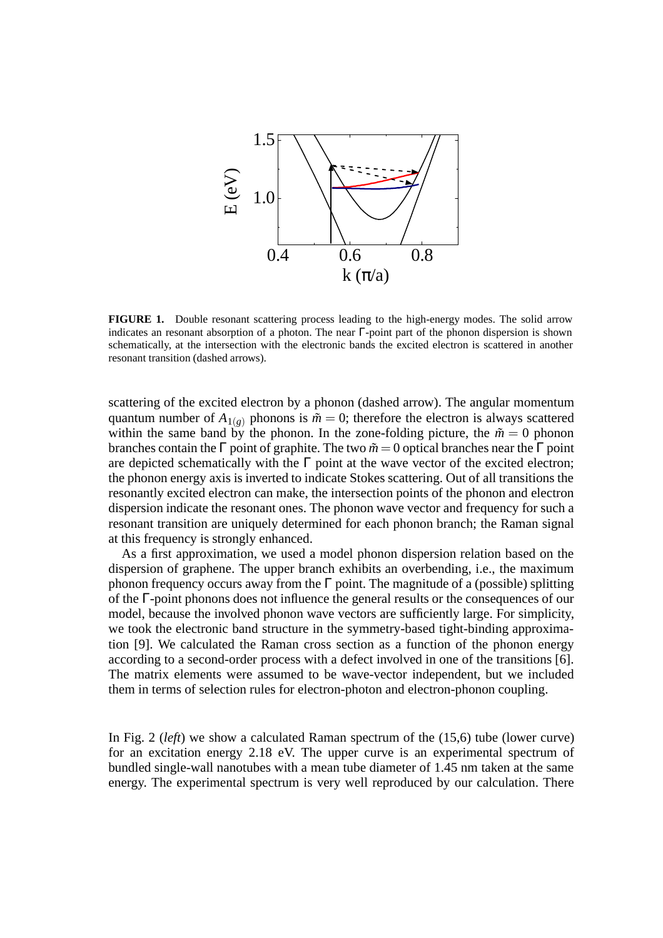

**FIGURE 1.** Double resonant scattering process leading to the high-energy modes. The solid arrow indicates an resonant absorption of a photon. The near Γ-point part of the phonon dispersion is shown schematically, at the intersection with the electronic bands the excited electron is scattered in another resonant transition (dashed arrows).

scattering of the excited electron by a phonon (dashed arrow). The angular momentum quantum number of  $A_{1(g)}$  phonons is  $\tilde{m} = 0$ ; therefore the electron is always scattered within the same band by the phonon. In the zone-folding picture, the  $\tilde{m} = 0$  phonon branches contain the Γ point of graphite. The two  $\tilde{m} = 0$  optical branches near the Γ point are depicted schematically with the  $\Gamma$  point at the wave vector of the excited electron; the phonon energy axis is inverted to indicate Stokes scattering. Out of all transitions the resonantly excited electron can make, the intersection points of the phonon and electron dispersion indicate the resonant ones. The phonon wave vector and frequency for such a resonant transition are uniquely determined for each phonon branch; the Raman signal at this frequency is strongly enhanced.

As a first approximation, we used a model phonon dispersion relation based on the dispersion of graphene. The upper branch exhibits an overbending, i.e., the maximum phonon frequency occurs away from the  $\Gamma$  point. The magnitude of a (possible) splitting of the Γ-point phonons does not influence the general results or the consequences of our model, because the involved phonon wave vectors are sufficiently large. For simplicity, we took the electronic band structure in the symmetry-based tight-binding approximation [9]. We calculated the Raman cross section as a function of the phonon energy according to a second-order process with a defect involved in one of the transitions [6]. The matrix elements were assumed to be wave-vector independent, but we included them in terms of selection rules for electron-photon and electron-phonon coupling.

In Fig. 2 (*left*) we show a calculated Raman spectrum of the (15,6) tube (lower curve) for an excitation energy 2.18 eV. The upper curve is an experimental spectrum of bundled single-wall nanotubes with a mean tube diameter of 1.45 nm taken at the same energy. The experimental spectrum is very well reproduced by our calculation. There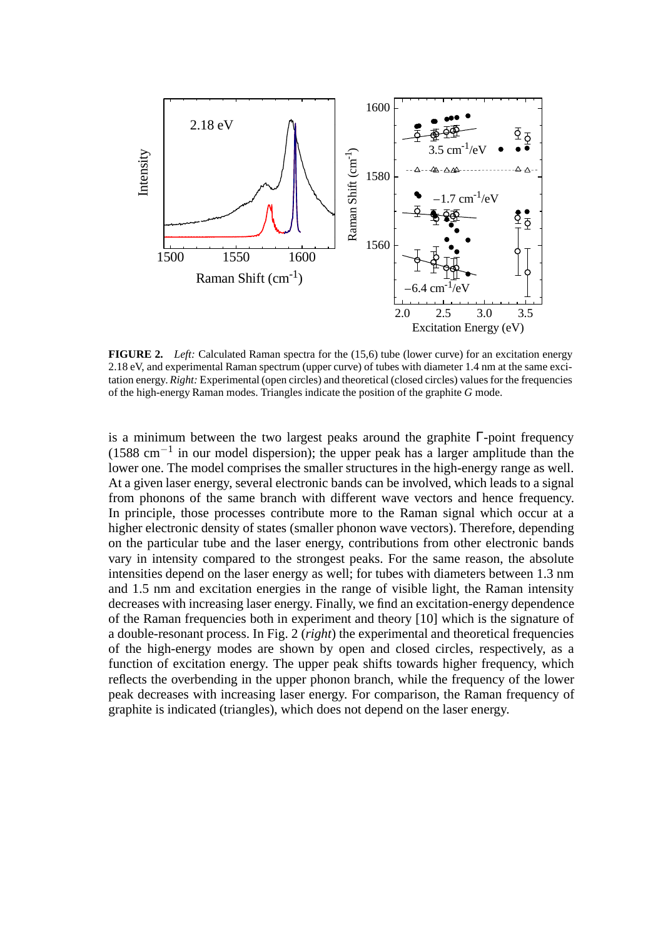

**FIGURE 2.** *Left:* Calculated Raman spectra for the (15,6) tube (lower curve) for an excitation energy 2.18 eV, and experimental Raman spectrum (upper curve) of tubes with diameter 1.4 nm at the same excitation energy. *Right:* Experimental (open circles) and theoretical (closed circles) values for the frequencies of the high-energy Raman modes. Triangles indicate the position of the graphite *G* mode.

is a minimum between the two largest peaks around the graphite Γ-point frequency  $(1588 \text{ cm}^{-1})$  in our model dispersion); the upper peak has a larger amplitude than the lower one. The model comprises the smaller structures in the high-energy range as well. At a given laser energy, several electronic bands can be involved, which leads to a signal from phonons of the same branch with different wave vectors and hence frequency. In principle, those processes contribute more to the Raman signal which occur at a higher electronic density of states (smaller phonon wave vectors). Therefore, depending on the particular tube and the laser energy, contributions from other electronic bands vary in intensity compared to the strongest peaks. For the same reason, the absolute intensities depend on the laser energy as well; for tubes with diameters between 1.3 nm and 1.5 nm and excitation energies in the range of visible light, the Raman intensity decreases with increasing laser energy. Finally, we find an excitation-energy dependence of the Raman frequencies both in experiment and theory [10] which is the signature of a double-resonant process. In Fig. 2 (*right*) the experimental and theoretical frequencies of the high-energy modes are shown by open and closed circles, respectively, as a function of excitation energy. The upper peak shifts towards higher frequency, which reflects the overbending in the upper phonon branch, while the frequency of the lower peak decreases with increasing laser energy. For comparison, the Raman frequency of graphite is indicated (triangles), which does not depend on the laser energy.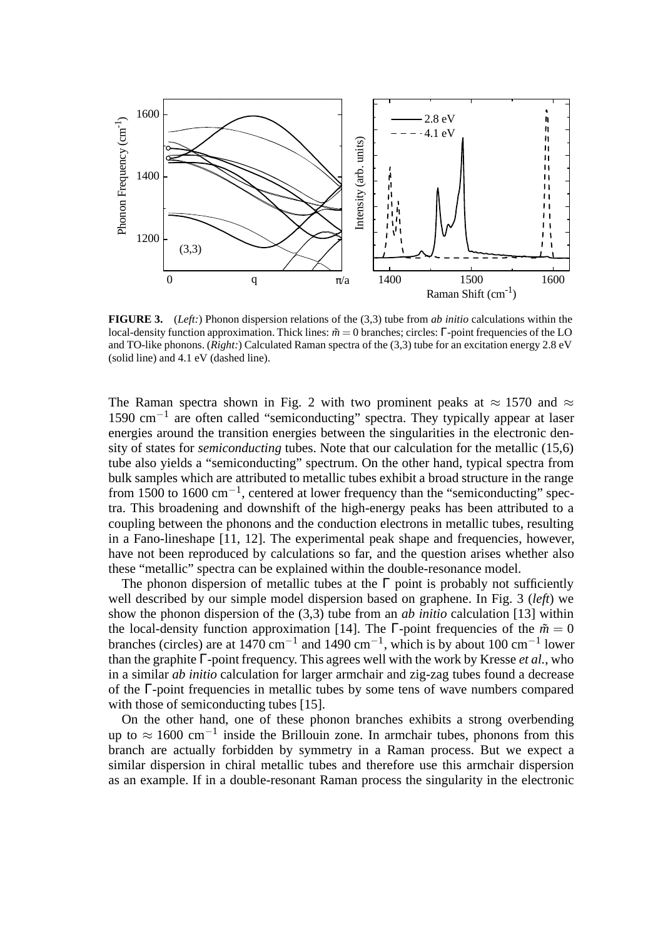

**FIGURE 3.** (*Left:*) Phonon dispersion relations of the (3,3) tube from *ab initio* calculations within the local-density function approximation. Thick lines: *m*˜ = 0 branches; circles: Γ-point frequencies of the LO and TO-like phonons. (*Right:*) Calculated Raman spectra of the (3,3) tube for an excitation energy 2.8 eV (solid line) and 4.1 eV (dashed line).

The Raman spectra shown in Fig. 2 with two prominent peaks at  $\approx 1570$  and  $\approx$ 1590 cm−<sup>1</sup> are often called "semiconducting" spectra. They typically appear at laser energies around the transition energies between the singularities in the electronic density of states for *semiconducting* tubes. Note that our calculation for the metallic (15,6) tube also yields a "semiconducting" spectrum. On the other hand, typical spectra from bulk samples which are attributed to metallic tubes exhibit a broad structure in the range from 1500 to 1600 cm−1, centered at lower frequency than the "semiconducting" spectra. This broadening and downshift of the high-energy peaks has been attributed to a coupling between the phonons and the conduction electrons in metallic tubes, resulting in a Fano-lineshape [11, 12]. The experimental peak shape and frequencies, however, have not been reproduced by calculations so far, and the question arises whether also these "metallic" spectra can be explained within the double-resonance model.

The phonon dispersion of metallic tubes at the  $\Gamma$  point is probably not sufficiently well described by our simple model dispersion based on graphene. In Fig. 3 (*left*) we show the phonon dispersion of the (3,3) tube from an *ab initio* calculation [13] within the local-density function approximation [14]. The  $\Gamma$ -point frequencies of the  $\tilde{m} = 0$ branches (circles) are at  $1470 \text{ cm}^{-1}$  and  $1490 \text{ cm}^{-1}$ , which is by about 100 cm<sup>-1</sup> lower than the graphite Γ-point frequency. This agrees well with the work by Kresse *et al.*, who in a similar *ab initio* calculation for larger armchair and zig-zag tubes found a decrease of the Γ-point frequencies in metallic tubes by some tens of wave numbers compared with those of semiconducting tubes [15].

On the other hand, one of these phonon branches exhibits a strong overbending up to  $\approx 1600 \text{ cm}^{-1}$  inside the Brillouin zone. In armchair tubes, phonons from this branch are actually forbidden by symmetry in a Raman process. But we expect a similar dispersion in chiral metallic tubes and therefore use this armchair dispersion as an example. If in a double-resonant Raman process the singularity in the electronic